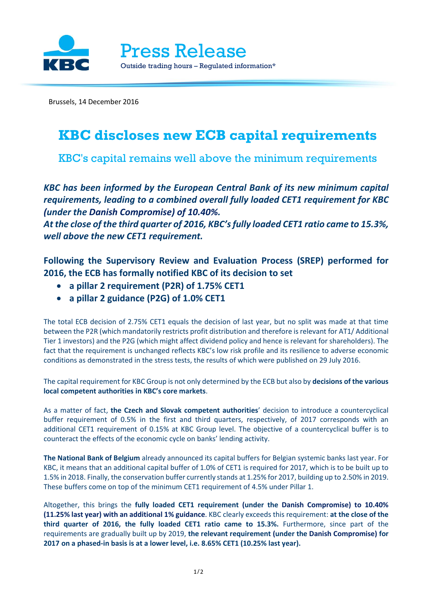

Brussels, 14 December 2016

## **KBC discloses new ECB capital requirements**

KBC's capital remains well above the minimum requirements

*KBC has been informed by the European Central Bank of its new minimum capital requirements, leading to a combined overall fully loaded CET1 requirement for KBC (under the Danish Compromise) of 10.40%.*

*At the close ofthe third quarter of 2016, KBC'sfully loaded CET1 ratio came to 15.3%, well above the new CET1 requirement.*

**Following the Supervisory Review and Evaluation Process (SREP) performed for 2016, the ECB has formally notified KBC of its decision to set**

- **a pillar 2 requirement (P2R) of 1.75% CET1**
- **a pillar 2 guidance (P2G) of 1.0% CET1**

The total ECB decision of 2.75% CET1 equals the decision of last year, but no split was made at that time between the P2R (which mandatorily restricts profit distribution and therefore is relevant for AT1/ Additional Tier 1 investors) and the P2G (which might affect dividend policy and hence is relevant for shareholders). The fact that the requirement is unchanged reflects KBC's low risk profile and its resilience to adverse economic conditions as demonstrated in the stress tests, the results of which were published on 29 July 2016.

The capital requirement for KBC Group is not only determined by the ECB but also by **decisions of the various local competent authorities in KBC's core markets**.

As a matter of fact, **the Czech and Slovak competent authorities**' decision to introduce a countercyclical buffer requirement of 0.5% in the first and third quarters, respectively, of 2017 corresponds with an additional CET1 requirement of 0.15% at KBC Group level. The objective of a countercyclical buffer is to counteract the effects of the economic cycle on banks' lending activity.

**The National Bank of Belgium** already announced its capital buffers for Belgian systemic banks last year. For KBC, it means that an additional capital buffer of 1.0% of CET1 is required for 2017, which is to be built up to 1.5% in 2018. Finally, the conservation buffer currently stands at 1.25% for 2017, building up to 2.50% in 2019. These buffers come on top of the minimum CET1 requirement of 4.5% under Pillar 1.

Altogether, this brings the **fully loaded CET1 requirement (under the Danish Compromise) to 10.40% (11.25% last year) with an additional 1% guidance**. KBC clearly exceeds this requirement: **at the close of the third quarter of 2016, the fully loaded CET1 ratio came to 15.3%.** Furthermore, since part of the requirements are gradually built up by 2019, **the relevant requirement (under the Danish Compromise) for 2017 on a phased-in basis is at a lower level, i.e. 8.65% CET1 (10.25% last year).**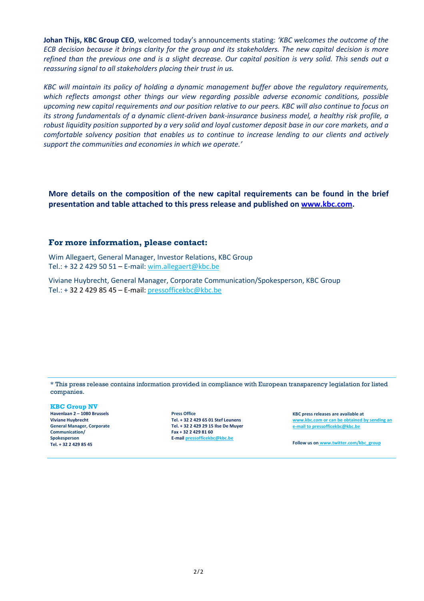**Johan Thijs, KBC Group CEO**, welcomed today's announcements stating: *'KBC welcomes the outcome of the* ECB decision because it brings clarity for the group and its stakeholders. The new capital decision is more refined than the previous one and is a slight decrease. Our capital position is very solid. This sends out a *reassuring signal to all stakeholders placing their trust in us.*

*KBC will maintain its policy of holding a dynamic management buffer above the regulatory requirements, which reflects amongst other things our view regarding possible adverse economic conditions, possible* upcoming new capital requirements and our position relative to our peers. KBC will also continue to focus on *its strong fundamentals of a dynamic client-driven bank-insurance business model, a healthy risk profile, a* robust liquidity position supported by a very solid and loyal customer deposit base in our core markets, and a *comfortable solvency position that enables us to continue to increase lending to our clients and actively support the communities and economies in which we operate.'*

**More details on the composition of the new capital requirements can be found in the brief presentation and table attached to this press release and published on [www.kbc.com.](http://www.kbc.com/)**

#### **For more information, please contact:**

Wim Allegaert, General Manager, Investor Relations, KBC Group Tel.: + 32 2 429 50 51 – E-mail: [wim.allegaert@kbc.be](mailto:wim.allegaert@kbc.be)

Viviane Huybrecht, General Manager, Corporate Communication/Spokesperson, KBC Group Tel.: + 32 2 429 85 45 – E-mail: [pressofficekbc@kbc.be](mailto:pressofficekbc@kbc.be)

\* This press release contains information provided in compliance with European transparency legislation for listed companies.

**KBC Group NV Havenlaan 2 – 1080 Brussels Viviane Huybrecht General Manager, Corporate Communication/ Spokesperson Tel. + 32 2 429 85 45**

**Press Office Tel. + 32 2 429 65 01 Stef Leunens Tel. + 32 2 429 29 15 Ilse De Muyer Fax + 32 2 429 81 60 E-mail [pressofficekbc@kbc.be](mailto:pressofficekbc@kbc.be)**

**KBC press releases are available at [www.kbc.com](http://www.kbc.com/) or can be obtained by sending an [e-mail](http://www.kbc.com/) to [pressofficekbc@kbc.be](mailto:pressofficekbc@kbc.be)**

**Follow us on [www.twitter.com/kbc\\_group](http://www.twitter.com/kbc_group)**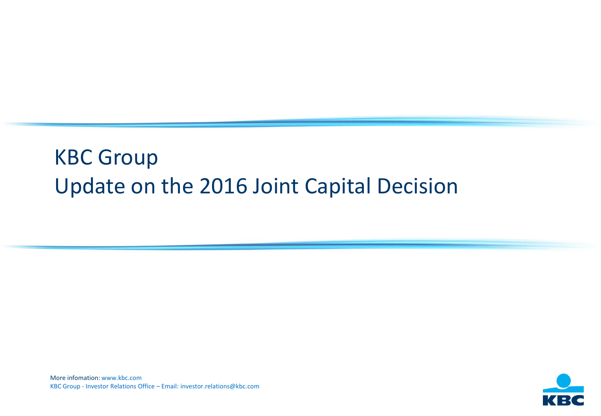# KBC Group Update on the 2016 Joint Capital Decision

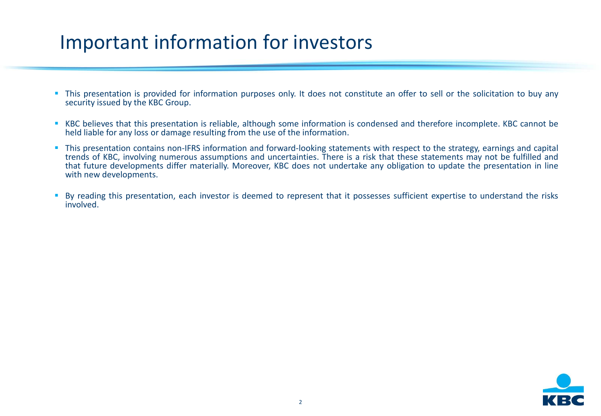# Important information for investors

- **This presentation is provided for information purposes only. It does not constitute an offer to sell or the solicitation to buy any** security issued by the KBC Group.
- KBC believes that this presentation is reliable, although some information is condensed and therefore incomplete. KBC cannot be held liable for any loss or damage resulting from the use of the information.
- This presentation contains non-IFRS information and forward-looking statements with respect to the strategy, earnings and capital trends of KBC, involving numerous assumptions and uncertainties. There is a risk that these statements may not be fulfilled and that future developments differ materially. Moreover, KBC does not undertake any obligation to update the presentation in line with new developments.
- By reading this presentation, each investor is deemed to represent that it possesses sufficient expertise to understand the risks involved.

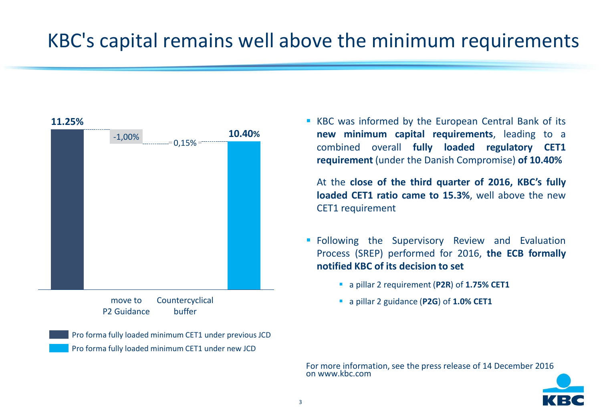# KBC's capital remains well above the minimum requirements

# 0,15% -1,00% **11.25% 10.40%**

Countercyclical buffer move to P2 Guidance

Pro forma fully loaded minimum CET1 under previous JCD Pro forma fully loaded minimum CET1 under new JCD

**KBC** was informed by the European Central Bank of its **new minimum capital requirements**, leading to a combined overall **fully loaded regulatory CET1 requirement** (under the Danish Compromise) **of 10.40%**

At the **close of the third quarter of 2016, KBC's fully loaded CET1 ratio came to 15.3%**, well above the new CET1 requirement

- **Following the Supervisory Review and Evaluation** Process (SREP) performed for 2016, **the ECB formally notified KBC of its decision to set**
	- a pillar 2 requirement (**P2R**) of **1.75% CET1**
	- a pillar 2 guidance (**P2G**) of **1.0% CET1**

For more information, see the press release of 14 December 2016 on www.kbc.com

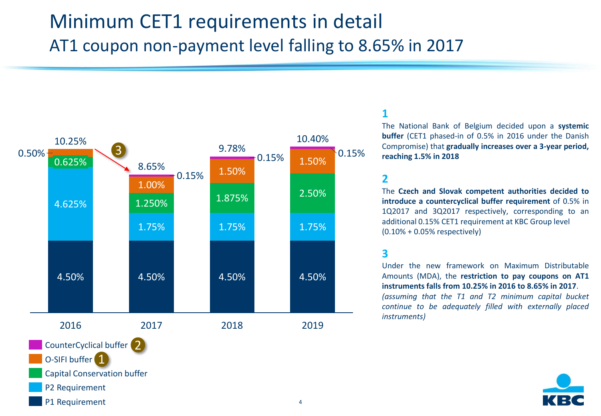# Minimum CET1 requirements in detail AT1 coupon non-payment level falling to 8.65% in 2017



## **1**

The National Bank of Belgium decided upon a **systemic buffer** (CET1 phased-in of 0.5% in 2016 under the Danish Compromise) that **gradually increases over a 3-year period, reaching 1.5% in 2018**

#### **2**

The **Czech and Slovak competent authorities decided to introduce a countercyclical buffer requirement** of 0.5% in 1Q2017 and 3Q2017 respectively, corresponding to an additional 0.15% CET1 requirement at KBC Group level (0.10% + 0.05% respectively)

## **3**

Under the new framework on Maximum Distributable Amounts (MDA), the **restriction to pay coupons on AT1 instruments falls from 10.25% in 2016 to 8.65% in 2017**. *(assuming that the T1 and T2 minimum capital bucket continue to be adequately filled with externally placed instruments)*



O-SIFI buffer<sup>1</sup>

## Capital Conservation buffer

- P2 Requirement
- P1 Requirement 4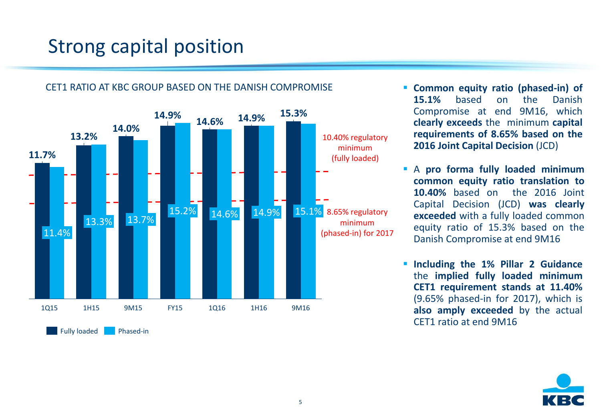# Strong capital position



## CET1 RATIO AT KBC GROUP BASED ON THE DANISH COMPROMISE

- **Common equity ratio (phased-in) of 15.1%** based on the Danish Compromise at end 9M16, which **clearly exceeds** the minimum **capital requirements of 8.65% based on the 2016 Joint Capital Decision** (JCD)
- A **pro forma fully loaded minimum common equity ratio translation to 10.40%** based on the 2016 Joint Capital Decision (JCD) **was clearly exceeded** with a fully loaded common equity ratio of 15.3% based on the Danish Compromise at end 9M16
- **Including the 1% Pillar 2 Guidance** the **implied fully loaded minimum CET1 requirement stands at 11.40%** (9.65% phased-in for 2017), which is **also amply exceeded** by the actual CET1 ratio at end 9M16

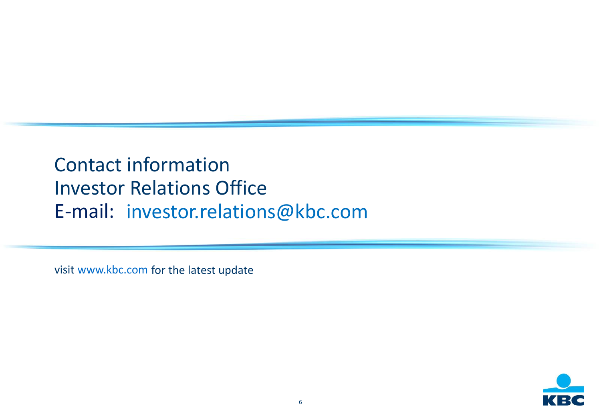# Contact information Investor Relations Office E-mail: [investor.relations@kbc.com](mailto:investor.relations@kbc.com)

visit [www.kbc.com](http://www.kbc.com/) for the latest update